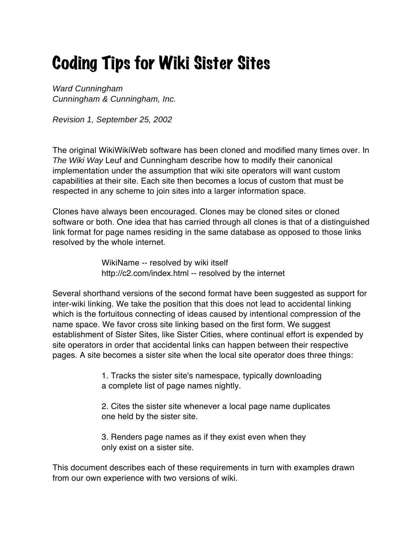## Coding Tips for Wiki Sister Sites

Ward Cunningham Cunningham & Cunningham, Inc.

Revision 1, September 25, 2002

The original WikiWikiWeb software has been cloned and modified many times over. In The Wiki Way Leuf and Cunningham describe how to modify their canonical implementation under the assumption that wiki site operators will want custom capabilities at their site. Each site then becomes a locus of custom that must be respected in any scheme to join sites into a larger information space.

Clones have always been encouraged. Clones may be cloned sites or cloned software or both. One idea that has carried through all clones is that of a distinguished link format for page names residing in the same database as opposed to those links resolved by the whole internet.

> WikiName -- resolved by wiki itself http://c2.com/index.html -- resolved by the internet

Several shorthand versions of the second format have been suggested as support for inter-wiki linking. We take the position that this does not lead to accidental linking which is the fortuitous connecting of ideas caused by intentional compression of the name space. We favor cross site linking based on the first form. We suggest establishment of Sister Sites, like Sister Cities, where continual effort is expended by site operators in order that accidental links can happen between their respective pages. A site becomes a sister site when the local site operator does three things:

> 1. Tracks the sister site's namespace, typically downloading a complete list of page names nightly.

2. Cites the sister site whenever a local page name duplicates one held by the sister site.

3. Renders page names as if they exist even when they only exist on a sister site.

This document describes each of these requirements in turn with examples drawn from our own experience with two versions of wiki.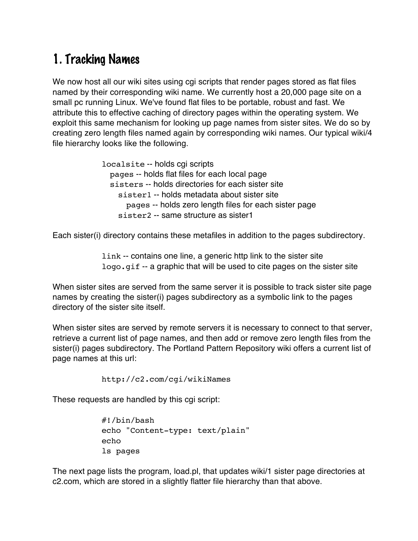## 1. Tracking Names

We now host all our wiki sites using cgi scripts that render pages stored as flat files named by their corresponding wiki name. We currently host a 20,000 page site on a small pc running Linux. We've found flat files to be portable, robust and fast. We attribute this to effective caching of directory pages within the operating system. We exploit this same mechanism for looking up page names from sister sites. We do so by creating zero length files named again by corresponding wiki names. Our typical wiki/4 file hierarchy looks like the following.

> localsite -- holds cgi scripts pages -- holds flat files for each local page sisters -- holds directories for each sister site sister1 -- holds metadata about sister site pages -- holds zero length files for each sister page sister2 -- same structure as sister1

Each sister(i) directory contains these metafiles in addition to the pages subdirectory.

link -- contains one line, a generic http link to the sister site logo.gif -- a graphic that will be used to cite pages on the sister site

When sister sites are served from the same server it is possible to track sister site page names by creating the sister(i) pages subdirectory as a symbolic link to the pages directory of the sister site itself.

When sister sites are served by remote servers it is necessary to connect to that server, retrieve a current list of page names, and then add or remove zero length files from the sister(i) pages subdirectory. The Portland Pattern Repository wiki offers a current list of page names at this url:

```
http://c2.com/cgi/wikiNames
```
These requests are handled by this cgi script:

#!/bin/bash echo "Content-type: text/plain" echo ls pages

The next page lists the program, load.pl, that updates wiki/1 sister page directories at c2.com, which are stored in a slightly flatter file hierarchy than that above.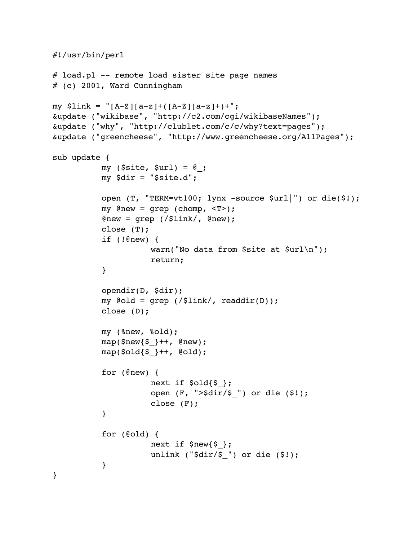```
#!/usr/bin/perl
# load.pl -- remote load sister site page names
# (c) 2001, Ward Cunningham
my $link = "[A-Z][a-z]+([A-Z][a-z]+)+";&update ("wikibase", "http://c2.com/cgi/wikibaseNames");
&update ("why", "http://clublet.com/c/c/why?text=pages");
&update ("greencheese", "http://www.greencheese.org/AllPages");
sub update {
          my ($site, $url) = @;
          my $dir = "$site.d";
          open (T, "TERM=vt100; lynx -source $url|") or die($!);
          my \ellnew = grep (chomp, \langle T \rangle);
          @new = qrep /($link/, @new;
          close (T);
          if (!@new) {
                     warn("No data from $site at $url\n");
                     return;
          }
          opendir(D, $dir);
          my @old = grep (/$link/, readdir(D));
          close (D);
          my (%new, %old);
          map($new{ \} ++, @new);
          map({} 20Id{5}_{}++, 0old;
          for (@new) {
                     next if $old\;
                     open (F, ">$dir/$_") or die ($!);
                     close (F);
          }
          for (@old) {
                     next if $new{$_};
                     unlink ("$dir/$_") or die ($!);
          }
}
```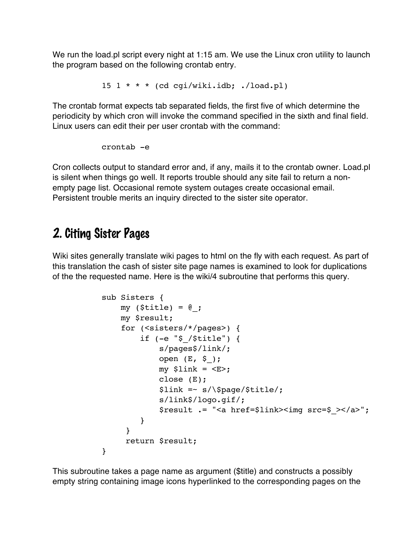We run the load pl script every night at 1:15 am. We use the Linux cron utility to launch the program based on the following crontab entry.

```
15 1 * * (cd cgi/wiki.idb; ./load.pl)
```
The crontab format expects tab separated fields, the first five of which determine the periodicity by which cron will invoke the command specified in the sixth and final field. Linux users can edit their per user crontab with the command:

crontab -e

Cron collects output to standard error and, if any, mails it to the crontab owner. Load.pl is silent when things go well. It reports trouble should any site fail to return a nonempty page list. Occasional remote system outages create occasional email. Persistent trouble merits an inquiry directed to the sister site operator.

## 2. Citing Sister Pages

Wiki sites generally translate wiki pages to html on the fly with each request. As part of this translation the cash of sister site page names is examined to look for duplications of the the requested name. Here is the wiki/4 subroutine that performs this query.

```
sub Sisters {
               my (\text{finite}) = \emptyset;
                my $result;
                for (<sisters/*/pages>) {
                    if (-e "$_/$title") {
                         s/pages$/link/;
                        open (E, \S);
                        my $link = \langleE>;
                         close (E);
                         $link =~ s/\$page/$title/;
                         s/link$/logo.gif/;
                         $result .= "<a href=$link><img src=$_></a>";
                    }
 }
                 return $result;
           }
```
This subroutine takes a page name as argument (\$title) and constructs a possibly empty string containing image icons hyperlinked to the corresponding pages on the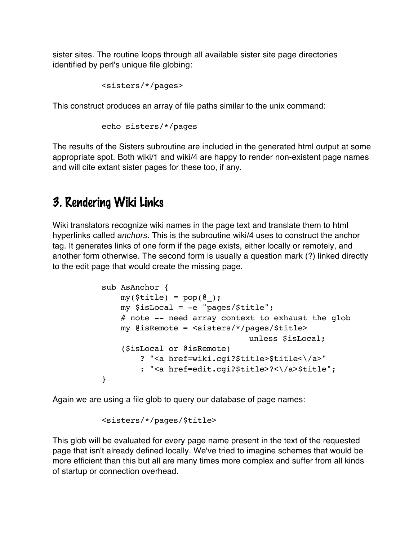sister sites. The routine loops through all available sister site page directories identified by perl's unique file globing:

```
<sisters/*/pages>
```
This construct produces an array of file paths similar to the unix command:

```
echo sisters/*/pages
```
The results of the Sisters subroutine are included in the generated html output at some appropriate spot. Both wiki/1 and wiki/4 are happy to render non-existent page names and will cite extant sister pages for these too, if any.

## 3. Rendering Wiki Links

Wiki translators recognize wiki names in the page text and translate them to html hyperlinks called anchors. This is the subroutine wiki/4 uses to construct the anchor tag. It generates links of one form if the page exists, either locally or remotely, and another form otherwise. The second form is usually a question mark (?) linked directly to the edit page that would create the missing page.

```
sub AsAnchor {
    my($title) = pop(@); my $isLocal = -e "pages/$title";
     # note -- need array context to exhaust the glob
     my @isRemote = <sisters/*/pages/$title> 
                               unless $isLocal;
     ($isLocal or @isRemote)
         ? "<a href=wiki.cgi?$title>$title<\/a>"
         : "<a href=edit.cgi?$title>?<\/a>$title";
}
```
Again we are using a file glob to query our database of page names:

<sisters/\*/pages/\$title>

This glob will be evaluated for every page name present in the text of the requested page that isn't already defined locally. We've tried to imagine schemes that would be more efficient than this but all are many times more complex and suffer from all kinds of startup or connection overhead.